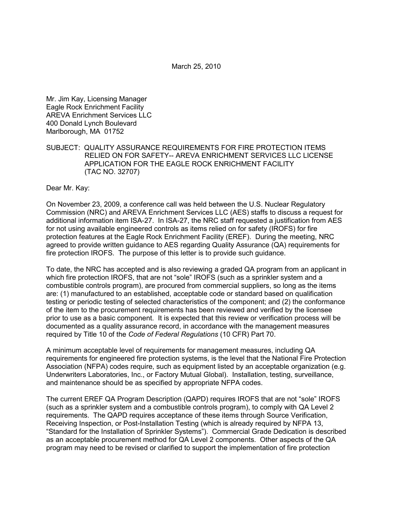March 25, 2010

Mr. Jim Kay, Licensing Manager Eagle Rock Enrichment Facility AREVA Enrichment Services LLC 400 Donald Lynch Boulevard Marlborough, MA 01752

# SUBJECT: QUALITY ASSURANCE REQUIREMENTS FOR FIRE PROTECTION ITEMS RELIED ON FOR SAFETY-- AREVA ENRICHMENT SERVICES LLC LICENSE APPLICATION FOR THE EAGLE ROCK ENRICHMENT FACILITY (TAC NO. 32707)

Dear Mr. Kay:

On November 23, 2009, a conference call was held between the U.S. Nuclear Regulatory Commission (NRC) and AREVA Enrichment Services LLC (AES) staffs to discuss a request for additional information item ISA-27. In ISA-27, the NRC staff requested a justification from AES for not using available engineered controls as items relied on for safety (IROFS) for fire protection features at the Eagle Rock Enrichment Facility (EREF). During the meeting, NRC agreed to provide written guidance to AES regarding Quality Assurance (QA) requirements for fire protection IROFS. The purpose of this letter is to provide such guidance.

To date, the NRC has accepted and is also reviewing a graded QA program from an applicant in which fire protection IROFS, that are not "sole" IROFS (such as a sprinkler system and a combustible controls program), are procured from commercial suppliers, so long as the items are: (1) manufactured to an established, acceptable code or standard based on qualification testing or periodic testing of selected characteristics of the component; and (2) the conformance of the item to the procurement requirements has been reviewed and verified by the licensee prior to use as a basic component. It is expected that this review or verification process will be documented as a quality assurance record, in accordance with the management measures required by Title 10 of the *Code of Federal Regulations* (10 CFR) Part 70.

A minimum acceptable level of requirements for management measures, including QA requirements for engineered fire protection systems, is the level that the National Fire Protection Association (NFPA) codes require, such as equipment listed by an acceptable organization (e.g. Underwriters Laboratories, Inc., or Factory Mutual Global). Installation, testing, surveillance, and maintenance should be as specified by appropriate NFPA codes.

The current EREF QA Program Description (QAPD) requires IROFS that are not "sole" IROFS (such as a sprinkler system and a combustible controls program), to comply with QA Level 2 requirements. The QAPD requires acceptance of these items through Source Verification, Receiving Inspection, or Post-Installation Testing (which is already required by NFPA 13, "Standard for the Installation of Sprinkler Systems"). Commercial Grade Dedication is described as an acceptable procurement method for QA Level 2 components. Other aspects of the QA program may need to be revised or clarified to support the implementation of fire protection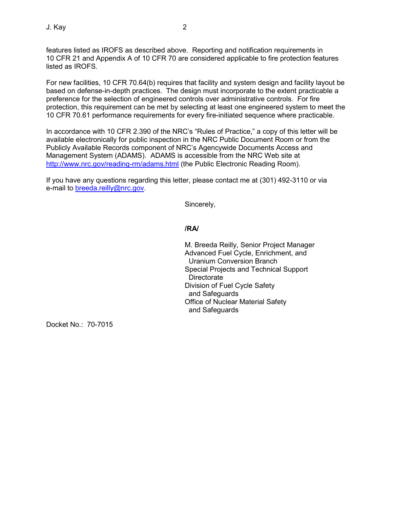features listed as IROFS as described above. Reporting and notification requirements in 10 CFR 21 and Appendix A of 10 CFR 70 are considered applicable to fire protection features listed as IROFS.

For new facilities, 10 CFR 70.64(b) requires that facility and system design and facility layout be based on defense-in-depth practices. The design must incorporate to the extent practicable a preference for the selection of engineered controls over administrative controls. For fire protection, this requirement can be met by selecting at least one engineered system to meet the 10 CFR 70.61 performance requirements for every fire-initiated sequence where practicable.

In accordance with 10 CFR 2.390 of the NRC's "Rules of Practice," a copy of this letter will be available electronically for public inspection in the NRC Public Document Room or from the Publicly Available Records component of NRC's Agencywide Documents Access and Management System (ADAMS). ADAMS is accessible from the NRC Web site at http://www.nrc.gov/reading-rm/adams.html (the Public Electronic Reading Room).

If you have any questions regarding this letter, please contact me at (301) 492-3110 or via e-mail to breeda.reilly@nrc.gov.

Sincerely,

## **/RA/**

 M. Breeda Reilly, Senior Project Manager Advanced Fuel Cycle, Enrichment, and Uranium Conversion Branch Special Projects and Technical Support **Directorate** Division of Fuel Cycle Safety and Safeguards Office of Nuclear Material Safety and Safeguards

Docket No.: 70-7015